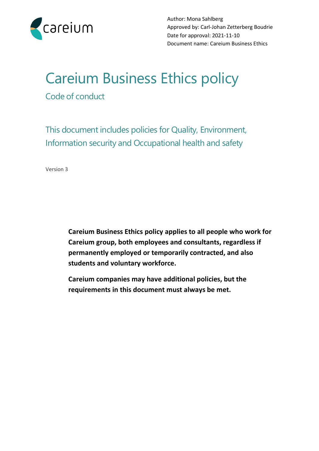

# Careium Business Ethics policy

Code of conduct

This document includes policies for Quality, Environment, Information security and Occupational health and safety

Version 3

**Careium Business Ethics policy applies to all people who work for Careium group, both employees and consultants, regardless if permanently employed or temporarily contracted, and also students and voluntary workforce.**

**Careium companies may have additional policies, but the requirements in this document must always be met.**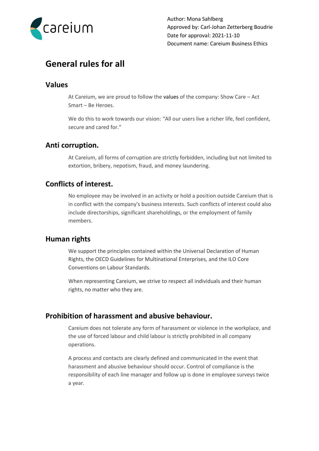

# **General rules for all**

#### **Values**

At Careium, we are proud to follow the values of the company: Show Care – Act Smart – Be Heroes.

We do this to work towards our vision: "All our users live a richer life, feel confident, secure and cared for."

#### **Anti corruption.**

At Careium, all forms of corruption are strictly forbidden, including but not limited to extortion, bribery, nepotism, fraud, and money laundering.

## **Conflicts of interest.**

No employee may be involved in an activity or hold a position outside Careium that is in conflict with the company's business interests. Such conflicts of interest could also include directorships, significant shareholdings, or the employment of family members.

#### **Human rights**

We support the principles contained within the Universal Declaration of Human Rights, the OECD Guidelines for Multinational Enterprises, and the ILO Core Conventions on Labour Standards.

When representing Careium, we strive to respect all individuals and their human rights, no matter who they are.

## **Prohibition of harassment and abusive behaviour.**

Careium does not tolerate any form of harassment or violence in the workplace, and the use of forced labour and child labour is strictly prohibited in all company operations.

A process and contacts are clearly defined and communicated in the event that harassment and abusive behaviour should occur. Control of compliance is the responsibility of each line manager and follow up is done in employee surveys twice a year.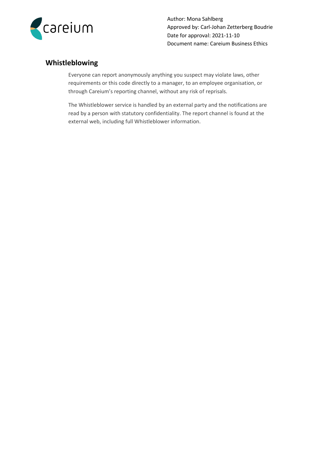

# **Whistleblowing**

Everyone can report anonymously anything you suspect may violate laws, other requirements or this code directly to a manager, to an employee organisation, or through Careium's reporting channel, without any risk of reprisals.

The Whistleblower service is handled by an external party and the notifications are read by a person with statutory confidentiality. The report channel is found at [the](https://docs.google.com/forms/d/e/1FAIpQLScXgRV9VYmd_tTRElzBkn1jGcXs_z5w5njxanJxVHxmf8AMPQ/viewform?c=0&w=1) external web, including full Whistleblower information.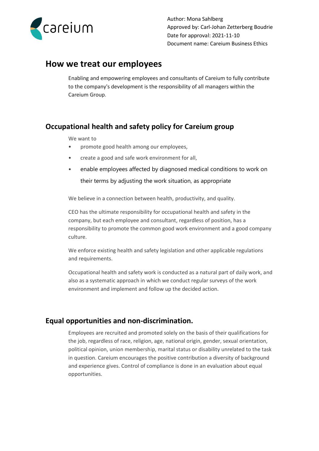

# **How we treat our employees**

Enabling and empowering employees and consultants of Careium to fully contribute to the company's development is the responsibility of all managers within the Careium Group.

# **Occupational health and safety policy for Careium group**

#### We want to

- promote good health among our employees,
- create a good and safe work environment for all,
- enable employees affected by diagnosed medical conditions to work on their terms by adjusting the work situation, as appropriate

We believe in a connection between health, productivity, and quality.

CEO has the ultimate responsibility for occupational health and safety in the company, but each employee and consultant, regardless of position, has a responsibility to promote the common good work environment and a good company culture.

We enforce existing health and safety legislation and other applicable regulations and requirements.

Occupational health and safety work is conducted as a natural part of daily work, and also as a systematic approach in which we conduct regular surveys of the work environment and implement and follow up the decided action.

## **Equal opportunities and non-discrimination.**

Employees are recruited and promoted solely on the basis of their qualifications for the job, regardless of race, religion, age, national origin, gender, sexual orientation, political opinion, union membership, marital status or disability unrelated to the task in question. Careium encourages the positive contribution a diversity of background and experience gives. Control of compliance is done in an evaluation about equal opportunities.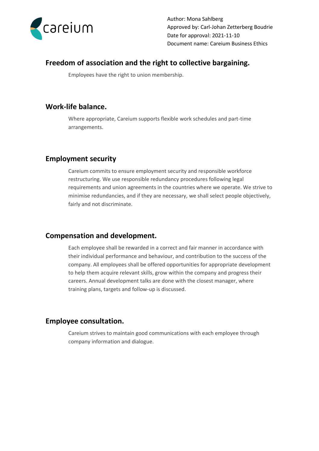

## **Freedom of association and the right to collective bargaining.**

Employees have the right to union membership.

### **Work-life balance.**

Where appropriate, Careium supports flexible work schedules and part-time arrangements.

## **Employment security**

Careium commits to ensure employment security and responsible workforce restructuring. We use responsible redundancy procedures following legal requirements and union agreements in the countries where we operate. We strive to minimise redundancies, and if they are necessary, we shall select people objectively, fairly and not discriminate.

#### **Compensation and development.**

Each employee shall be rewarded in a correct and fair manner in accordance with their individual performance and behaviour, and contribution to the success of the company. All employees shall be offered opportunities for appropriate development to help them acquire relevant skills, grow within the company and progress their careers. Annual development talks are done with the closest manager, where training plans, targets and follow-up is discussed.

#### **Employee consultation.**

Careium strives to maintain good communications with each employee through company information and dialogue.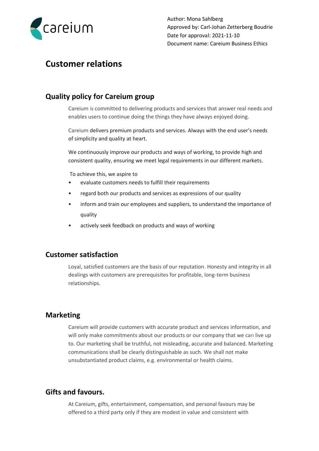

# **Customer relations**

## **Quality policy for Careium group**

Careium is committed to delivering products and services that answer real needs and enables users to continue doing the things they have always enjoyed doing.

Careium delivers premium products and services. Always with the end user's needs of simplicity and quality at heart.

We continuously improve our products and ways of working, to provide high and consistent quality, ensuring we meet legal requirements in our different markets.

To achieve this, we aspire to

- evaluate customers needs to fulfill their requirements
- regard both our products and services as expressions of our quality
- inform and train our employees and suppliers, to understand the importance of quality
- actively seek feedback on products and ways of working

#### **Customer satisfaction**

Loyal, satisfied customers are the basis of our reputation. Honesty and integrity in all dealings with customers are prerequisites for profitable, long-term business relationships.

#### **Marketing**

Careium will provide customers with accurate product and services information, and will only make commitments about our products or our company that we can live up to. Our marketing shall be truthful, not misleading, accurate and balanced. Marketing communications shall be clearly distinguishable as such. We shall not make unsubstantiated product claims, e.g. environmental or health claims.

### **Gifts and favours.**

At Careium, gifts, entertainment, compensation, and personal favours may be offered to a third party only if they are modest in value and consistent with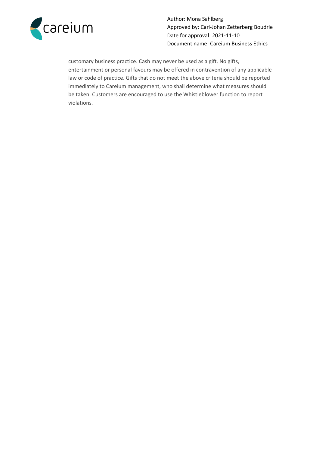

customary business practice. Cash may never be used as a gift. No gifts, entertainment or personal favours may be offered in contravention of any applicable law or code of practice. Gifts that do not meet the above criteria should be reported immediately to Careium management, who shall determine what measures should be taken. Customers are encouraged to use the Whistleblower function to report violations.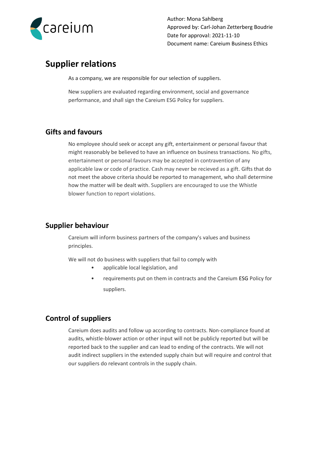

# **Supplier relations**

As a company, we are responsible for our selection of suppliers.

New suppliers are evaluated regarding environment, social and governance performance, and shall sign the Careium ESG Policy for suppliers.

# **Gifts and favours**

No employee should seek or accept any gift, entertainment or personal favour that might reasonably be believed to have an influence on business transactions. No gifts, entertainment or personal favours may be accepted in contravention of any applicable law or code of practice. Cash may never be recieved as a gift. Gifts that do not meet the above criteria should be reported to management, who shall determine how the matter will be dealt with. Suppliers are encouraged to use the Whistle blower function to report violations.

# **Supplier behaviour**

Careium will inform business partners of the company's values and business principles.

We will not do business with suppliers that fail to comply with

- applicable local legislation, and
- requirements put on them in contracts and the Careium ESG Policy for suppliers.

# **Control of suppliers**

Careium does audits and follow up according to contracts. Non-compliance found at audits, whistle-blower action or other input will not be publicly reported but will be reported back to the supplier and can lead to ending of the contracts. We will not audit indirect suppliers in the extended supply chain but will require and control that our suppliers do relevant controls in the supply chain.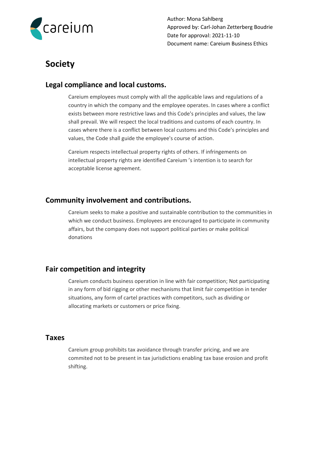

# **Society**

## **Legal compliance and local customs.**

Careium employees must comply with all the applicable laws and regulations of a country in which the company and the employee operates. In cases where a conflict exists between more restrictive laws and this Code's principles and values, the law shall prevail. We will respect the local traditions and customs of each country. In cases where there is a conflict between local customs and this Code's principles and values, the Code shall guide the employee's course of action.

Careium respects intellectual property rights of others. If infringements on intellectual property rights are identified Careium 's intention is to search for acceptable license agreement.

#### **Community involvement and contributions.**

Careium seeks to make a positive and sustainable contribution to the communities in which we conduct business. Employees are encouraged to participate in community affairs, but the company does not support political parties or make political donations

## **Fair competition and integrity**

Careium conducts business operation in line with fair competition; Not participating in any form of bid rigging or other mechanisms that limit fair competition in tender situations, any form of cartel practices with competitors, such as dividing or allocating markets or customers or price fixing.

#### **Taxes**

Careium group prohibits tax avoidance through transfer pricing, and we are commited not to be present in tax jurisdictions enabling tax base erosion and profit shifting.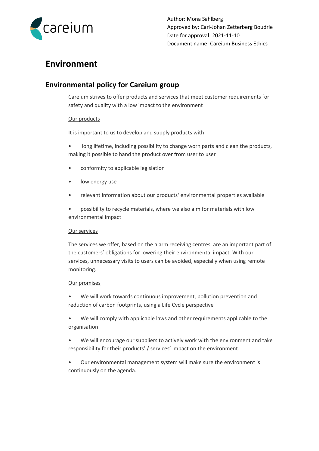

# **Environment**

# **Environmental policy for Careium group**

Careium strives to offer products and services that meet customer requirements for safety and quality with a low impact to the environment

#### Our products

It is important to us to develop and supply products with

- long lifetime, including possibility to change worn parts and clean the products, making it possible to hand the product over from user to user
- conformity to applicable legislation
- low energy use
- relevant information about our products' environmental properties available
- possibility to recycle materials, where we also aim for materials with low environmental impact

#### Our services

The services we offer, based on the alarm receiving centres, are an important part of the customers' obligations for lowering their environmental impact. With our services, unnecessary visits to users can be avoided, especially when using remote monitoring.

#### Our promises

- We will work towards continuous improvement, pollution prevention and reduction of carbon footprints, using a Life Cycle perspective
- We will comply with applicable laws and other requirements applicable to the organisation
- We will encourage our suppliers to actively work with the environment and take responsibility for their products' / services' impact on the environment.
- Our environmental management system will make sure the environment is continuously on the agenda.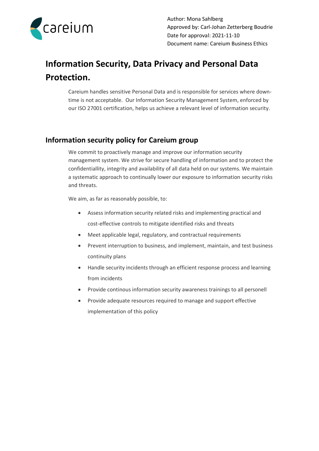

# **Information Security, Data Privacy and Personal Data Protection.**

Careium handles sensitive Personal Data and is responsible for services where downtime is not acceptable. Our Information Security Management System, enforced by our ISO 27001 certification, helps us achieve a relevant level of information security.

# **Information security policy for Careium group**

We commit to proactively manage and improve our information security management system. We strive for secure handling of information and to protect the confidentiallity, integrity and availability of all data held on our systems. We maintain a systematic approach to continually lower our exposure to information security risks and threats.

We aim, as far as reasonably possible, to:

- Assess information security related risks and implementing practical and cost-effective controls to mitigate identified risks and threats
- Meet applicable legal, regulatory, and contractual requirements
- Prevent interruption to business, and implement, maintain, and test business continuity plans
- Handle security incidents through an efficient response process and learning from incidents
- Provide continous information security awareness trainings to all personell
- Provide adequate resources required to manage and support effective implementation of this policy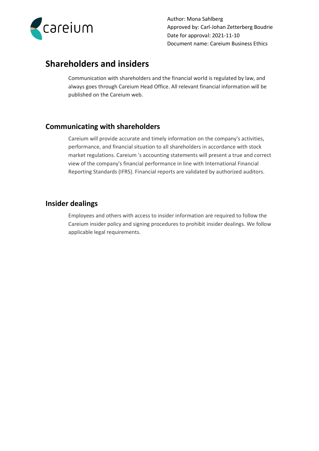

# **Shareholders and insiders**

Communication with shareholders and the financial world is regulated by law, and always goes through Careium Head Office. All relevant financial information will be published on the Careium web.

## **Communicating with shareholders**

Careium will provide accurate and timely information on the company's activities, performance, and financial situation to all shareholders in accordance with stock market regulations. Careium 's accounting statements will present a true and correct view of the company's financial performance in line with International Financial Reporting Standards (IFRS). Financial reports are validated by authorized auditors.

## **Insider dealings**

Employees and others with access to insider information are required to follow the Careium insider policy and signing procedures to prohibit insider dealings. We follow applicable legal requirements.